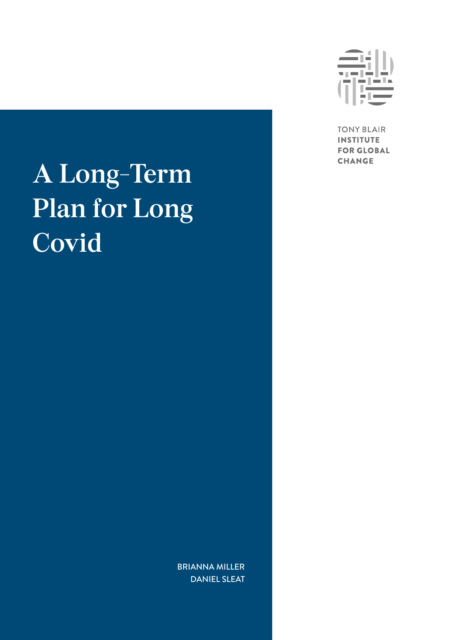# **A Long-Term Plan for Long Covid**



**TONY BLAIR INSTITUTE FOR GLOBAL CHANGE** 

BRIANNA MILLER DANIEL SLEAT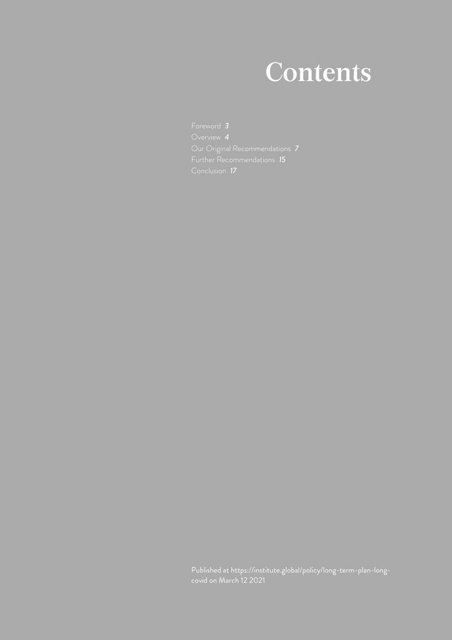## **Contents**

Published at [https://institute.global/policy/long-term-plan-long](https://institute.global/policy/long-term-plan-long-covid)[covid](https://institute.global/policy/long-term-plan-long-covid) on March 12 2021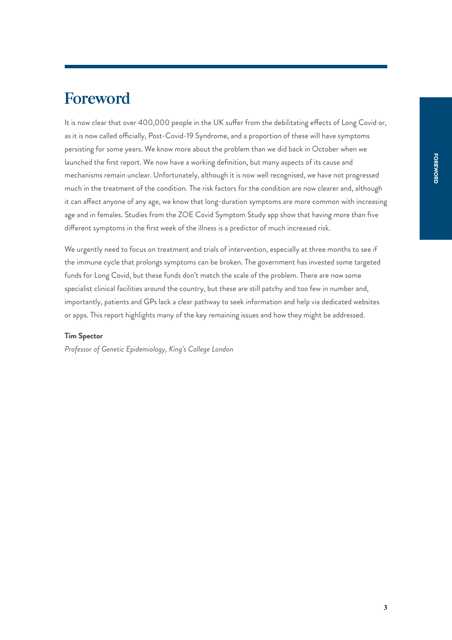## <span id="page-2-0"></span>**Foreword**

It is now clear that over 400,000 people in the UK suffer from the debilitating effects of Long Covid or, as it is now called officially, Post-Covid-19 Syndrome, and a proportion of these will have symptoms persisting for some years. We know more about the problem than we did back in October when we launched the first report. We now have a working definition, but many aspects of its cause and mechanisms remain unclear. Unfortunately, although it is now well recognised, we have not progressed much in the treatment of the condition. The risk factors for the condition are now clearer and, although it can affect anyone of any age, we know that long-duration symptoms are more common with increasing age and in females. Studies from the ZOE Covid Symptom Study app show that having more than five different symptoms in the first week of the illness is a predictor of much increased risk.

We urgently need to focus on treatment and trials of intervention, especially at three months to see if the immune cycle that prolongs symptoms can be broken. The government has invested some targeted funds for Long Covid, but these funds don't match the scale of the problem. There are now some specialist clinical facilities around the country, but these are still patchy and too few in number and, importantly, patients and GPs lack a clear pathway to seek information and help via dedicated websites or apps. This report highlights many of the key remaining issues and how they might be addressed.

#### **Tim Spector**

*Professor of Genetic Epidemiology, King's College London*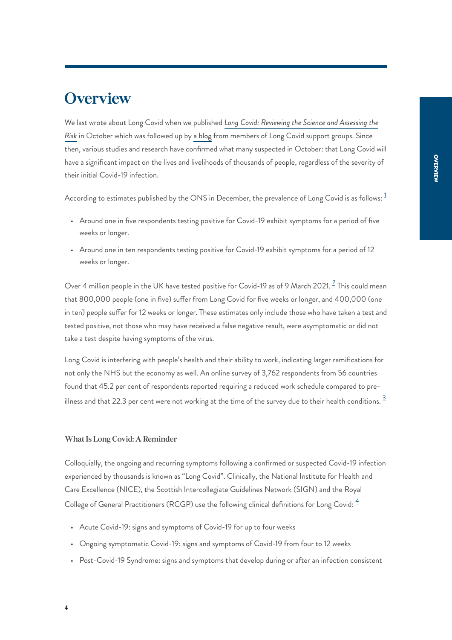### <span id="page-3-0"></span>**Overview**

We last wrote about Long Covid when we published *[Long Covid: Reviewing the Science and Assessing the](https://institute.global/policy/long-covid-reviewing-science-and-assessing-risk) [Risk](https://institute.global/policy/long-covid-reviewing-science-and-assessing-risk)* in October which was followed up by [a blog](https://institute.global/policy/long-covid-time-action) from members of Long Covid support groups. Since then, various studies and research have confirmed what many suspected in October: that Long Covid will have a significant impact on the lives and livelihoods of thousands of people, regardless of the severity of their initial Covid-19 infection.

<span id="page-3-1"></span>According to estimates published by the ONS in December, the prevalence of Long Covid is as follows:  $1$ 

- Around one in five respondents testing positive for Covid-19 exhibit symptoms for a period of five weeks or longer.
- Around one in ten respondents testing positive for Covid-19 exhibit symptoms for a period of 12 weeks or longer.

<span id="page-3-2"></span>Over 4 million people in the UK have tested positive for Covid-19 as of 9 March [2](#page-18-1)021.  $^2$  This could mean that 800,000 people (one in five) suffer from Long Covid for five weeks or longer, and 400,000 (one in ten) people suffer for 12 weeks or longer. These estimates only include those who have taken a test and tested positive, not those who may have received a false negative result, were asymptomatic or did not take a test despite having symptoms of the virus.

<span id="page-3-3"></span>Long Covid is interfering with people's health and their ability to work, indicating larger ramifications for not only the NHS but the economy as well. An online survey of 3,762 respondents from 56 countries found that 45.2 per cent of respondents reported requiring a reduced work schedule compared to pre-illness and that 22.[3](#page-18-2) per cent were not working at the time of the survey due to their health conditions.  $\frac{3}{2}$ 

#### **What Is Long Covid: A Reminder**

Colloquially, the ongoing and recurring symptoms following a confirmed or suspected Covid-19 infection experienced by thousands is known as "Long Covid". Clinically, the National Institute for Health and Care Excellence (NICE), the Scottish Intercollegiate Guidelines Network (SIGN) and the Royal College of General Practitioners (RCGP) use the following clinical definitions for Long Covid:  $\frac{4}{3}$  $\frac{4}{3}$  $\frac{4}{3}$ 

- <span id="page-3-4"></span>• Acute Covid-19: signs and symptoms of Covid-19 for up to four weeks
- Ongoing symptomatic Covid-19: signs and symptoms of Covid-19 from four to 12 weeks
- Post-Covid-19 Syndrome: signs and symptoms that develop during or after an infection consistent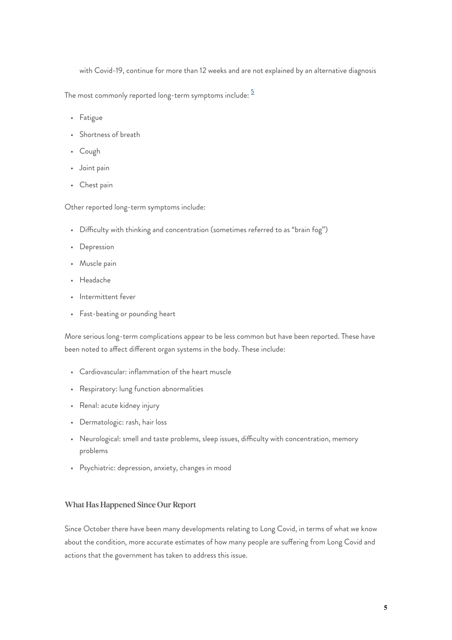with Covid-19, continue for more than 12 weeks and are not explained by an alternative diagnosis

<span id="page-4-0"></span>The most commonly reported long-term symptoms include:  $\frac{5}{2}$  $\frac{5}{2}$  $\frac{5}{2}$ 

- Fatigue
- Shortness of breath
- Cough
- Joint pain
- Chest pain

Other reported long-term symptoms include:

- Difficulty with thinking and concentration (sometimes referred to as "brain fog")
- Depression
- Muscle pain
- Headache
- Intermittent fever
- Fast-beating or pounding heart

More serious long-term complications appear to be less common but have been reported. These have been noted to affect different organ systems in the body. These include:

- Cardiovascular: inflammation of the heart muscle
- Respiratory: lung function abnormalities
- Renal: acute kidney injury
- Dermatologic: rash, hair loss
- Neurological: smell and taste problems, sleep issues, difficulty with concentration, memory problems
- Psychiatric: depression, anxiety, changes in mood

#### **What Has Happened Since Our Report**

Since October there have been many developments relating to Long Covid, in terms of what we know about the condition, more accurate estimates of how many people are suffering from Long Covid and actions that the government has taken to address this issue.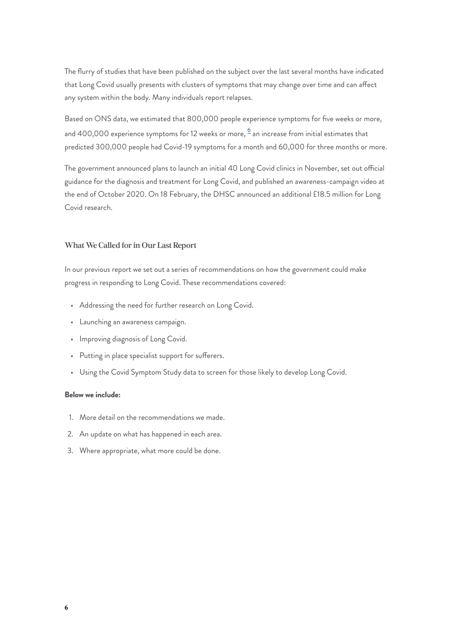The flurry of studies that have been published on the subject over the last several months have indicated that Long Covid usually presents with clusters of symptoms that may change over time and can affect any system within the body. Many individuals report relapses.

<span id="page-5-0"></span>Based on ONS data, we estimated that 800,000 people experience symptoms for five weeks or more, and 400,000 experience symptoms for 12 weeks or more,  $^6$  $^6$  an increase from initial estimates that predicted 300,000 people had Covid-19 symptoms for a month and 60,000 for three months or more.

The government announced plans to launch an initial 40 Long Covid clinics in November, set out official guidance for the diagnosis and treatment for Long Covid, and published an awareness-campaign video at the end of October 2020. On 18 February, the DHSC announced an additional £18.5 million for Long Covid research.

#### **What We Called for in Our Last Report**

In our previous report we set out a series of recommendations on how the government could make progress in responding to Long Covid. These recommendations covered:

- Addressing the need for further research on Long Covid.
- Launching an awareness campaign.
- Improving diagnosis of Long Covid.
- Putting in place specialist support for sufferers.
- Using the Covid Symptom Study data to screen for those likely to develop Long Covid.

#### **Below we include:**

- 1. More detail on the recommendations we made.
- 2. An update on what has happened in each area.
- 3. Where appropriate, what more could be done.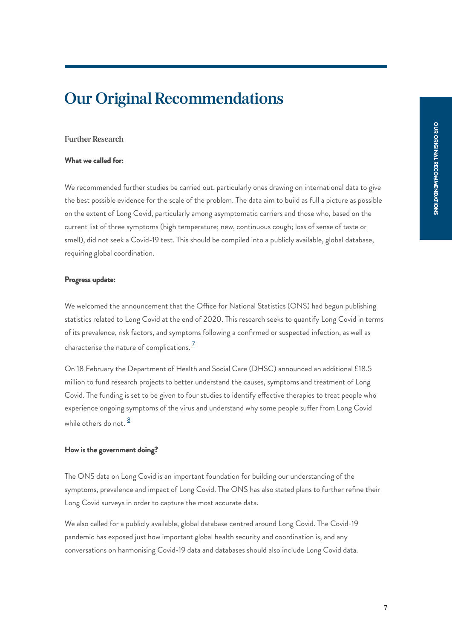## <span id="page-6-0"></span>**Our Original Recommendations**

#### **Further Research**

#### **What we called for:**

We recommended further studies be carried out, particularly ones drawing on international data to give the best possible evidence for the scale of the problem. The data aim to build as full a picture as possible on the extent of Long Covid, particularly among asymptomatic carriers and those who, based on the current list of three symptoms (high temperature; new, continuous cough; loss of sense of taste or smell), did not seek a Covid-19 test. This should be compiled into a publicly available, global database, requiring global coordination.

#### **Progress update:**

We welcomed the announcement that the Office for National Statistics (ONS) had begun publishing statistics related to Long Covid at the end of 2020. This research seeks to quantify Long Covid in terms of its prevalence, risk factors, and symptoms following a confirmed or suspected infection, as well as characterise the nature of complications.  $\frac{7}{5}$  $\frac{7}{5}$  $\frac{7}{5}$ 

<span id="page-6-1"></span>On 18 February the Department of Health and Social Care (DHSC) announced an additional £18.5 million to fund research projects to better understand the causes, symptoms and treatment of Long Covid. The funding is set to be given to four studies to identify effective therapies to treat people who experience ongoing symptoms of the virus and understand why some people suffer from Long Covid while others do not.  $\frac{8}{3}$  $\frac{8}{3}$  $\frac{8}{3}$ 

#### <span id="page-6-2"></span>**How is the government doing?**

The ONS data on Long Covid is an important foundation for building our understanding of the symptoms, prevalence and impact of Long Covid. The ONS has also stated plans to further refine their Long Covid surveys in order to capture the most accurate data.

We also called for a publicly available, global database centred around Long Covid. The Covid-19 pandemic has exposed just how important global health security and coordination is, and any conversations on harmonising Covid-19 data and databases should also include Long Covid data.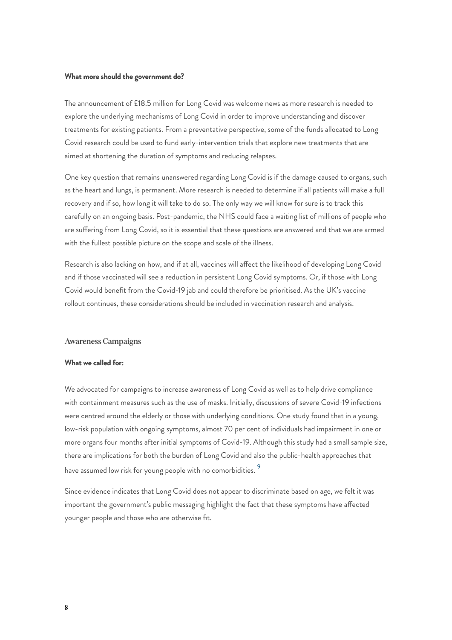#### **What more should the government do?**

The announcement of £18.5 million for Long Covid was welcome news as more research is needed to explore the underlying mechanisms of Long Covid in order to improve understanding and discover treatments for existing patients. From a preventative perspective, some of the funds allocated to Long Covid research could be used to fund early-intervention trials that explore new treatments that are aimed at shortening the duration of symptoms and reducing relapses.

One key question that remains unanswered regarding Long Covid is if the damage caused to organs, such as the heart and lungs, is permanent. More research is needed to determine if all patients will make a full recovery and if so, how long it will take to do so. The only way we will know for sure is to track this carefully on an ongoing basis. Post-pandemic, the NHS could face a waiting list of millions of people who are suffering from Long Covid, so it is essential that these questions are answered and that we are armed with the fullest possible picture on the scope and scale of the illness.

Research is also lacking on how, and if at all, vaccines will affect the likelihood of developing Long Covid and if those vaccinated will see a reduction in persistent Long Covid symptoms. Or, if those with Long Covid would benefit from the Covid-19 jab and could therefore be prioritised. As the UK's vaccine rollout continues, these considerations should be included in vaccination research and analysis.

#### **Awareness Campaigns**

#### **What we called for:**

We advocated for campaigns to increase awareness of Long Covid as well as to help drive compliance with containment measures such as the use of masks. Initially, discussions of severe Covid-19 infections were centred around the elderly or those with underlying conditions. One study found that in a young, low-risk population with ongoing symptoms, almost 70 per cent of individuals had impairment in one or more organs four months after initial symptoms of Covid-19. Although this study had a small sample size, there are implications for both the burden of Long Covid and also the public-health approaches that have assumed low risk for young people with no comorbidities.  $\frac{9}{5}$  $\frac{9}{5}$  $\frac{9}{5}$ 

<span id="page-7-0"></span>Since evidence indicates that Long Covid does not appear to discriminate based on age, we felt it was important the government's public messaging highlight the fact that these symptoms have affected younger people and those who are otherwise fit.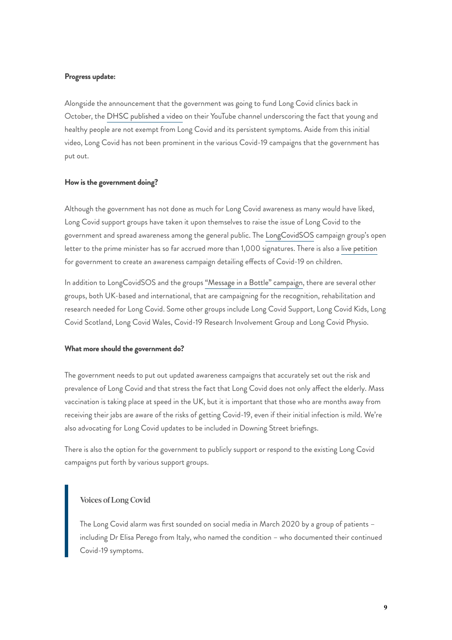#### **Progress update:**

Alongside the announcement that the government was going to fund Long Covid clinics back in October, the [DHSC published a video](https://www.youtube.com/watch?v=ulJSEo2fWvA) on their YouTube channel underscoring the fact that young and healthy people are not exempt from Long Covid and its persistent symptoms. Aside from this initial video, Long Covid has not been prominent in the various Covid-19 campaigns that the government has put out.

#### **How is the government doing?**

Although the government has not done as much for Long Covid awareness as many would have liked, Long Covid support groups have taken it upon themselves to raise the issue of Long Covid to the government and spread awareness among the general public. The [LongCovidSOS](https://www.longcovidsos.org/) campaign group's open letter to the prime minister has so far accrued more than 1,000 signatures. There is also a [live petition](https://petition.parliament.uk/petitions/564509) for government to create an awareness campaign detailing effects of Covid-19 on children.

In addition to LongCovidSOS and the groups ["Message in a Bottle" campaign,](https://www.longcovidsos.org/film) there are several other groups, both UK-based and international, that are campaigning for the recognition, rehabilitation and research needed for Long Covid. Some other groups include Long Covid Support, Long Covid Kids, Long Covid Scotland, Long Covid Wales, Covid-19 Research Involvement Group and Long Covid Physio.

#### **What more should the government do?**

The government needs to put out updated awareness campaigns that accurately set out the risk and prevalence of Long Covid and that stress the fact that Long Covid does not only affect the elderly. Mass vaccination is taking place at speed in the UK, but it is important that those who are months away from receiving their jabs are aware of the risks of getting Covid-19, even if their initial infection is mild. We're also advocating for Long Covid updates to be included in Downing Street briefings.

There is also the option for the government to publicly support or respond to the existing Long Covid campaigns put forth by various support groups.

#### **Voices of Long Covid**

The Long Covid alarm was first sounded on social media in March 2020 by a group of patients – including Dr Elisa Perego from Italy, who named the condition – who documented their continued Covid-19 symptoms.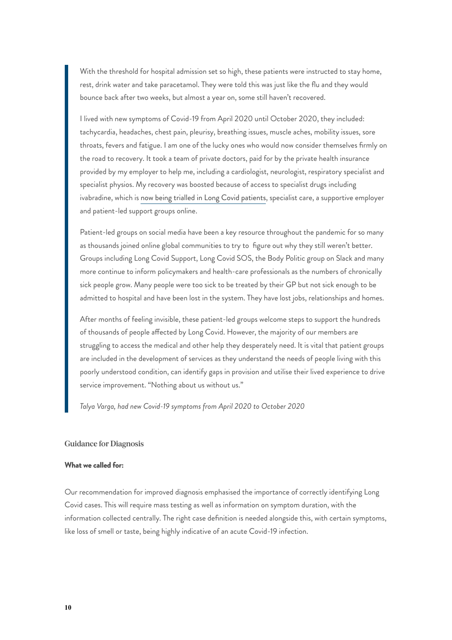With the threshold for hospital admission set so high, these patients were instructed to stay home, rest, drink water and take paracetamol. They were told this was just like the flu and they would bounce back after two weeks, but almost a year on, some still haven't recovered.

I lived with new symptoms of Covid-19 from April 2020 until October 2020, they included: tachycardia, headaches, chest pain, pleurisy, breathing issues, muscle aches, mobility issues, sore throats, fevers and fatigue. I am one of the lucky ones who would now consider themselves firmly on the road to recovery. It took a team of private doctors, paid for by the private health insurance provided by my employer to help me, including a cardiologist, neurologist, respiratory specialist and specialist physios. My recovery was boosted because of access to specialist drugs including ivabradine, which is [now being trialled in Long Covid patients](https://health.ucsd.edu/news/releases/Pages/2021-02-15-existing-heart-failure-drug-may-treat-potential-covid-19-long-hauler-symptom.aspx), specialist care, a supportive employer and patient-led support groups online.

Patient-led groups on social media have been a key resource throughout the pandemic for so many as thousands joined online global communities to try to figure out why they still weren't better. Groups including Long Covid Support, Long Covid SOS, the Body Politic group on Slack and many more continue to inform policymakers and health-care professionals as the numbers of chronically sick people grow. Many people were too sick to be treated by their GP but not sick enough to be admitted to hospital and have been lost in the system. They have lost jobs, relationships and homes.

After months of feeling invisible, these patient-led groups welcome steps to support the hundreds of thousands of people affected by Long Covid. However, the majority of our members are struggling to access the medical and other help they desperately need. It is vital that patient groups are included in the development of services as they understand the needs of people living with this poorly understood condition, can identify gaps in provision and utilise their lived experience to drive service improvement. "Nothing about us without us."

*Talya Varga, had new Covid-19 symptoms from April 2020 to October 2020*

#### **Guidance for Diagnosis**

#### **What we called for:**

Our recommendation for improved diagnosis emphasised the importance of correctly identifying Long Covid cases. This will require mass testing as well as information on symptom duration, with the information collected centrally. The right case definition is needed alongside this, with certain symptoms, like loss of smell or taste, being highly indicative of an acute Covid-19 infection.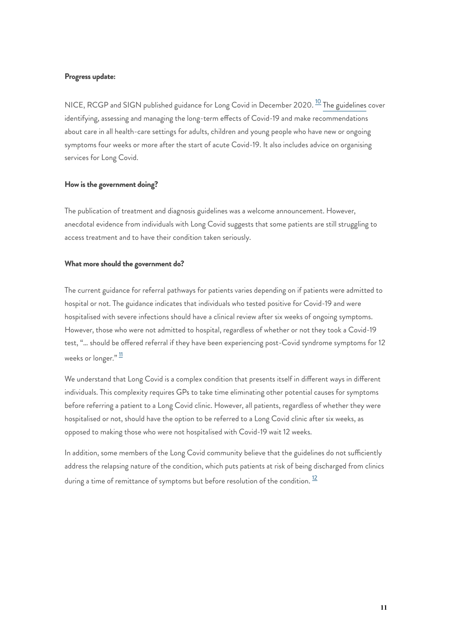#### **Progress update:**

<span id="page-10-0"></span>NICE, RCGP and SIGN published guidance for Long Covid in December 2020.  $^{10}$  $^{10}$  $^{10}$  [The guidelines](https://www.nice.org.uk/guidance/ng188) cover identifying, assessing and managing the long-term effects of Covid-19 and make recommendations about care in all health-care settings for adults, children and young people who have new or ongoing symptoms four weeks or more after the start of acute Covid-19. It also includes advice on organising services for Long Covid.

#### **How is the government doing?**

The publication of treatment and diagnosis guidelines was a welcome announcement. However, anecdotal evidence from individuals with Long Covid suggests that some patients are still struggling to access treatment and to have their condition taken seriously.

#### **What more should the government do?**

The current guidance for referral pathways for patients varies depending on if patients were admitted to hospital or not. The guidance indicates that individuals who tested positive for Covid-19 and were hospitalised with severe infections should have a clinical review after six weeks of ongoing symptoms. However, those who were not admitted to hospital, regardless of whether or not they took a Covid-19 test, "… should be offered referral if they have been experiencing post-Covid syndrome symptoms for 12 weeks or longer."  $\frac{11}{1}$  $\frac{11}{1}$  $\frac{11}{1}$ 

<span id="page-10-1"></span>We understand that Long Covid is a complex condition that presents itself in different ways in different individuals. This complexity requires GPs to take time eliminating other potential causes for symptoms before referring a patient to a Long Covid clinic. However, all patients, regardless of whether they were hospitalised or not, should have the option to be referred to a Long Covid clinic after six weeks, as opposed to making those who were not hospitalised with Covid-19 wait 12 weeks.

<span id="page-10-2"></span>In addition, some members of the Long Covid community believe that the guidelines do not sufficiently address the relapsing nature of the condition, which puts patients at risk of being discharged from clinics during a time of remittance of symptoms but before resolution of the condition.  $^{12}$  $^{12}$  $^{12}$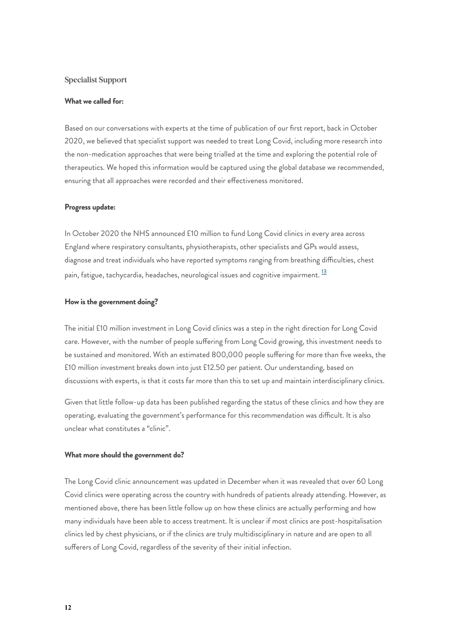#### **Specialist Support**

#### **What we called for:**

Based on our conversations with experts at the time of publication of our first report, back in October 2020, we believed that specialist support was needed to treat Long Covid, including more research into the non-medication approaches that were being trialled at the time and exploring the potential role of therapeutics. We hoped this information would be captured using the global database we recommended, ensuring that all approaches were recorded and their effectiveness monitored.

#### **Progress update:**

In October 2020 the NHS announced £10 million to fund Long Covid clinics in every area across England where respiratory consultants, physiotherapists, other specialists and GPs would assess, diagnose and treat individuals who have reported symptoms ranging from breathing difficulties, chest pain, fatigue, tachycardia, headaches, neurological issues and cognitive impairment. <sup>[13](#page-18-12)</sup>

#### <span id="page-11-0"></span>**How is the government doing?**

The initial £10 million investment in Long Covid clinics was a step in the right direction for Long Covid care. However, with the number of people suffering from Long Covid growing, this investment needs to be sustained and monitored. With an estimated 800,000 people suffering for more than five weeks, the £10 million investment breaks down into just £12.50 per patient. Our understanding, based on discussions with experts, is that it costs far more than this to set up and maintain interdisciplinary clinics.

Given that little follow-up data has been published regarding the status of these clinics and how they are operating, evaluating the government's performance for this recommendation was difficult. It is also unclear what constitutes a "clinic".

#### **What more should the government do?**

The Long Covid clinic announcement was updated in December when it was revealed that over 60 Long Covid clinics were operating across the country with hundreds of patients already attending. However, as mentioned above, there has been little follow up on how these clinics are actually performing and how many individuals have been able to access treatment. It is unclear if most clinics are post-hospitalisation clinics led by chest physicians, or if the clinics are truly multidisciplinary in nature and are open to all sufferers of Long Covid, regardless of the severity of their initial infection.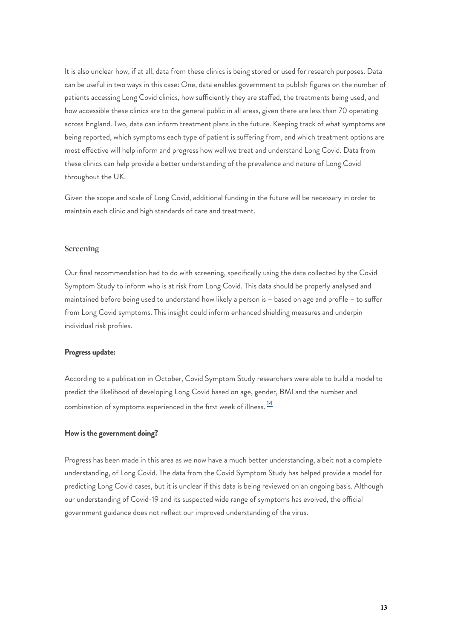It is also unclear how, if at all, data from these clinics is being stored or used for research purposes. Data can be useful in two ways in this case: One, data enables government to publish figures on the number of patients accessing Long Covid clinics, how sufficiently they are staffed, the treatments being used, and how accessible these clinics are to the general public in all areas, given there are less than 70 operating across England. Two, data can inform treatment plans in the future. Keeping track of what symptoms are being reported, which symptoms each type of patient is suffering from, and which treatment options are most effective will help inform and progress how well we treat and understand Long Covid. Data from these clinics can help provide a better understanding of the prevalence and nature of Long Covid throughout the UK.

Given the scope and scale of Long Covid, additional funding in the future will be necessary in order to maintain each clinic and high standards of care and treatment.

#### **Screening**

Our final recommendation had to do with screening, specifically using the data collected by the Covid Symptom Study to inform who is at risk from Long Covid. This data should be properly analysed and maintained before being used to understand how likely a person is – based on age and profile – to suffer from Long Covid symptoms. This insight could inform enhanced shielding measures and underpin individual risk profiles.

#### **Progress update:**

<span id="page-12-0"></span>According to a publication in October, Covid Symptom Study researchers were able to build a model to predict the likelihood of developing Long Covid based on age, gender, BMI and the number and combination of symptoms experienced in the first week of illness.  $\frac{14}{1}$  $\frac{14}{1}$  $\frac{14}{1}$ 

#### **How is the government doing?**

Progress has been made in this area as we now have a much better understanding, albeit not a complete understanding, of Long Covid. The data from the Covid Symptom Study has helped provide a model for predicting Long Covid cases, but it is unclear if this data is being reviewed on an ongoing basis. Although our understanding of Covid-19 and its suspected wide range of symptoms has evolved, the official government guidance does not reflect our improved understanding of the virus.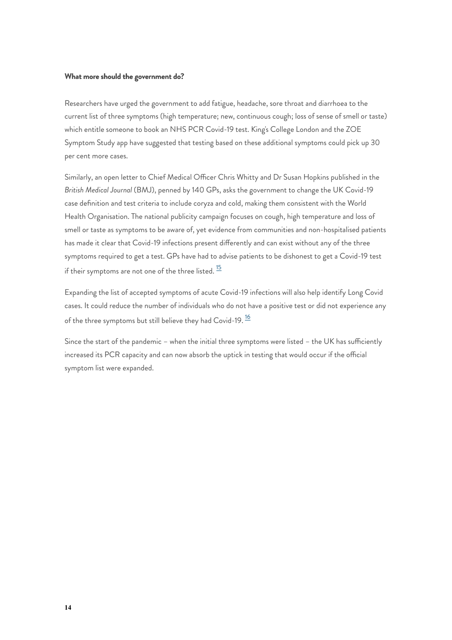#### **What more should the government do?**

Researchers have urged the government to add fatigue, headache, sore throat and diarrhoea to the current list of three symptoms (high temperature; new, continuous cough; loss of sense of smell or taste) which entitle someone to book an NHS PCR Covid-19 test. King's College London and the ZOE Symptom Study app have suggested that testing based on these additional symptoms could pick up 30 per cent more cases.

Similarly, an open letter to Chief Medical Officer Chris Whitty and Dr Susan Hopkins published in the *British Medical Journal* (BMJ), penned by 140 GPs, asks the government to change the UK Covid-19 case definition and test criteria to include coryza and cold, making them consistent with the World Health Organisation. The national publicity campaign focuses on cough, high temperature and loss of smell or taste as symptoms to be aware of, yet evidence from communities and non-hospitalised patients has made it clear that Covid-19 infections present differently and can exist without any of the three symptoms required to get a test. GPs have had to advise patients to be dishonest to get a Covid-19 test if their symptoms are not one of the three listed.  $\frac{15}{15}$  $\frac{15}{15}$  $\frac{15}{15}$ 

<span id="page-13-0"></span>Expanding the list of accepted symptoms of acute Covid-19 infections will also help identify Long Covid cases. It could reduce the number of individuals who do not have a positive test or did not experience any of the three symptoms but still believe they had Covid-19.<sup>[16](#page-18-15)</sup>

<span id="page-13-1"></span>Since the start of the pandemic – when the initial three symptoms were listed – the UK has sufficiently increased its PCR capacity and can now absorb the uptick in testing that would occur if the official symptom list were expanded.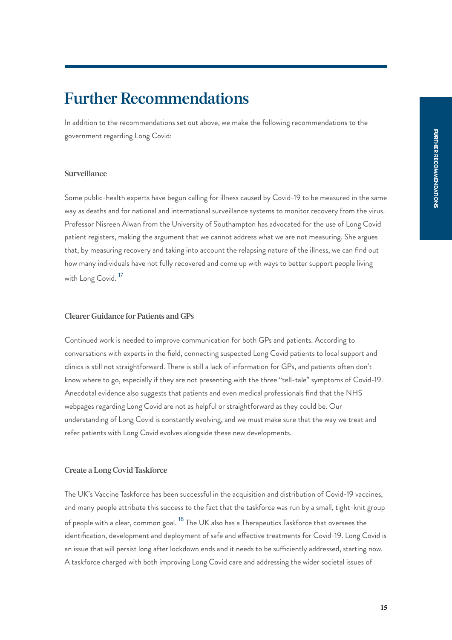## <span id="page-14-0"></span>**Further Recommendations**

In addition to the recommendations set out above, we make the following recommendations to the government regarding Long Covid:

#### **Surveillance**

Some public-health experts have begun calling for illness caused by Covid-19 to be measured in the same way as deaths and for national and international surveillance systems to monitor recovery from the virus. Professor Nisreen Alwan from the University of Southampton has advocated for the use of Long Covid patient registers, making the argument that we cannot address what we are not measuring. She argues that, by measuring recovery and taking into account the relapsing nature of the illness, we can find out how many individuals have not fully recovered and come up with ways to better support people living with Long Covid.<sup>[17](#page-18-16)</sup>

#### <span id="page-14-1"></span>**Clearer Guidance for Patients and GPs**

Continued work is needed to improve communication for both GPs and patients. According to conversations with experts in the field, connecting suspected Long Covid patients to local support and clinics is still not straightforward. There is still a lack of information for GPs, and patients often don't know where to go, especially if they are not presenting with the three "tell-tale" symptoms of Covid-19. Anecdotal evidence also suggests that patients and even medical professionals find that the NHS webpages regarding Long Covid are not as helpful or straightforward as they could be. Our understanding of Long Covid is constantly evolving, and we must make sure that the way we treat and refer patients with Long Covid evolves alongside these new developments.

#### **Create a Long Covid Taskforce**

<span id="page-14-2"></span>The UK's Vaccine Taskforce has been successful in the acquisition and distribution of Covid-19 vaccines, and many people attribute this success to the fact that the taskforce was run by a small, tight-knit group of people with a clear, common goal.  $^{18}$  $^{18}$  $^{18}$  The UK also has a Therapeutics Taskforce that oversees the identification, development and deployment of safe and effective treatments for Covid-19. Long Covid is an issue that will persist long after lockdown ends and it needs to be sufficiently addressed, starting now. A taskforce charged with both improving Long Covid care and addressing the wider societal issues of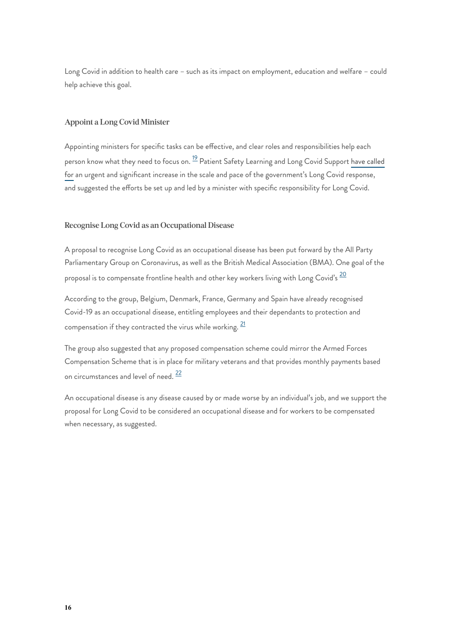Long Covid in addition to health care – such as its impact on employment, education and welfare – could help achieve this goal.

#### **Appoint a Long Covid Minister**

<span id="page-15-0"></span>Appointing ministers for specific tasks can be effective, and clear roles and responsibilities help each person know what they need to focus on. <sup>[19](#page-18-18)</sup> Patient Safety Learning and Long Covid Support [have called](https://www.pslhub.org/learn/coronavirus-covid19/patient-recovery/long-covid-minister-needed-to-respond-to-growing-crisis-3-february-2021-r3983/) [for](https://www.pslhub.org/learn/coronavirus-covid19/patient-recovery/long-covid-minister-needed-to-respond-to-growing-crisis-3-february-2021-r3983/) an urgent and significant increase in the scale and pace of the government's Long Covid response, and suggested the efforts be set up and led by a minister with specific responsibility for Long Covid.

#### **Recognise Long Covid as an Occupational Disease**

A proposal to recognise Long Covid as an occupational disease has been put forward by the All Party Parliamentary Group on Coronavirus, as well as the British Medical Association (BMA). One goal of the proposal is to compensate frontline health and other key workers living with Long Covid's  $\frac{20}{1}$  $\frac{20}{1}$  $\frac{20}{1}$ 

<span id="page-15-1"></span>According to the group, Belgium, Denmark, France, Germany and Spain have already recognised Covid-19 as an occupational disease, entitling employees and their dependants to protection and compensation if they contracted the virus while working.  $^{\underline{21}}$  $^{\underline{21}}$  $^{\underline{21}}$ 

<span id="page-15-2"></span>The group also suggested that any proposed compensation scheme could mirror the Armed Forces Compensation Scheme that is in place for military veterans and that provides monthly payments based on circumstances and level of need.  $\frac{22}{3}$  $\frac{22}{3}$  $\frac{22}{3}$ 

<span id="page-15-3"></span>An occupational disease is any disease caused by or made worse by an individual's job, and we support the proposal for Long Covid to be considered an occupational disease and for workers to be compensated when necessary, as suggested.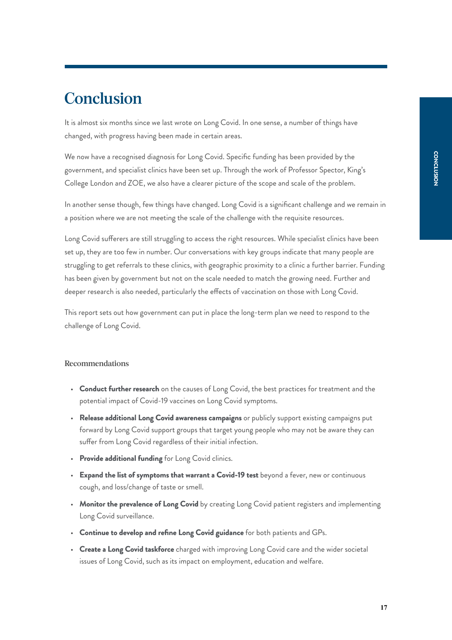## <span id="page-16-0"></span>**Conclusion**

It is almost six months since we last wrote on Long Covid. In one sense, a number of things have changed, with progress having been made in certain areas.

We now have a recognised diagnosis for Long Covid. Specific funding has been provided by the government, and specialist clinics have been set up. Through the work of Professor Spector, King's College London and ZOE, we also have a clearer picture of the scope and scale of the problem.

In another sense though, few things have changed. Long Covid is a significant challenge and we remain in a position where we are not meeting the scale of the challenge with the requisite resources.

Long Covid sufferers are still struggling to access the right resources. While specialist clinics have been set up, they are too few in number. Our conversations with key groups indicate that many people are struggling to get referrals to these clinics, with geographic proximity to a clinic a further barrier. Funding has been given by government but not on the scale needed to match the growing need. Further and deeper research is also needed, particularly the effects of vaccination on those with Long Covid.

This report sets out how government can put in place the long-term plan we need to respond to the challenge of Long Covid.

#### **Recommendations**

- **Conduct further research** on the causes of Long Covid, the best practices for treatment and the potential impact of Covid-19 vaccines on Long Covid symptoms.
- **Release additional Long Covid awareness campaigns** or publicly support existing campaigns put forward by Long Covid support groups that target young people who may not be aware they can suffer from Long Covid regardless of their initial infection.
- **Provide additional funding** for Long Covid clinics.
- **Expand the list of symptoms that warrant a Covid-19 test** beyond a fever, new or continuous cough, and loss/change of taste or smell.
- **Monitor the prevalence of Long Covid** by creating Long Covid patient registers and implementing Long Covid surveillance.
- **Continue to develop and refine Long Covid guidance** for both patients and GPs.
- **Create a Long Covid taskforce** charged with improving Long Covid care and the wider societal issues of Long Covid, such as its impact on employment, education and welfare.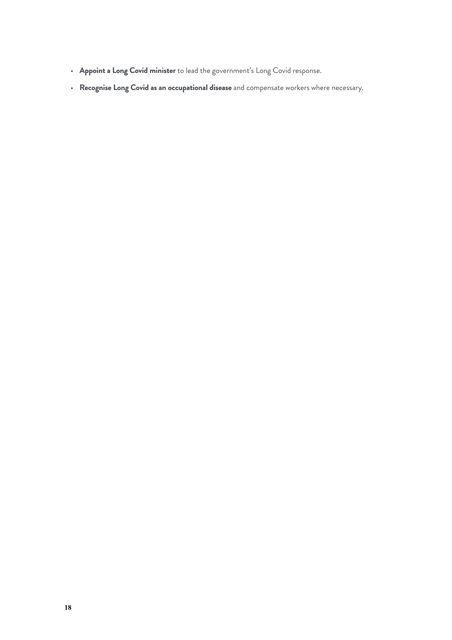- **Appoint a Long Covid minister** to lead the government's Long Covid response.
- **Recognise Long Covid as an occupational disease** and compensate workers where necessary.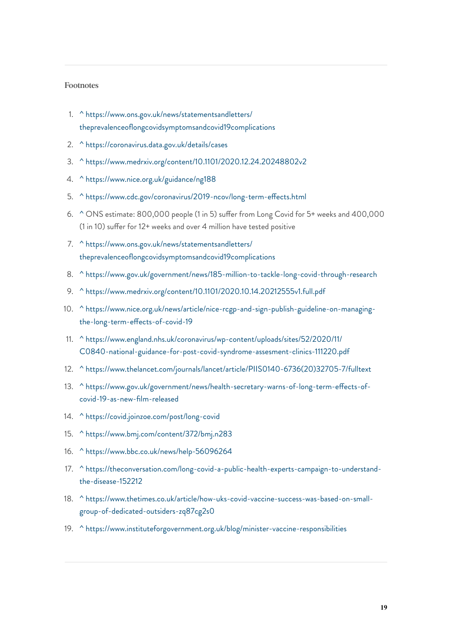#### **Footnotes**

- <span id="page-18-0"></span>1. [^](#page-3-1) [https://www.ons.gov.uk/news/statementsandletters/](https://www.ons.gov.uk/news/statementsandletters/theprevalenceoflongcovidsymptomsandcovid19complications) [theprevalenceoflongcovidsymptomsandcovid19complications](https://www.ons.gov.uk/news/statementsandletters/theprevalenceoflongcovidsymptomsandcovid19complications)
- <span id="page-18-1"></span>2. [^](#page-3-2) <https://coronavirus.data.gov.uk/details/cases>
- <span id="page-18-2"></span>3. [^](#page-3-3) <https://www.medrxiv.org/content/10.1101/2020.12.24.20248802v2>
- <span id="page-18-3"></span>4. [^](#page-3-4) <https://www.nice.org.uk/guidance/ng188>
- <span id="page-18-4"></span>5. [^](#page-4-0) <https://www.cdc.gov/coronavirus/2019-ncov/long-term-effects.html>
- <span id="page-18-5"></span>6. [^](#page-5-0) ONS estimate: 800,000 people (1 in 5) suffer from Long Covid for 5+ weeks and 400,000 (1 in 10) suffer for 12+ weeks and over 4 million have tested positive
- <span id="page-18-6"></span>7. [^](#page-6-1) [https://www.ons.gov.uk/news/statementsandletters/](https://www.ons.gov.uk/news/statementsandletters/theprevalenceoflongcovidsymptomsandcovid19complications) [theprevalenceoflongcovidsymptomsandcovid19complications](https://www.ons.gov.uk/news/statementsandletters/theprevalenceoflongcovidsymptomsandcovid19complications)
- <span id="page-18-7"></span>8. [^](#page-6-2) <https://www.gov.uk/government/news/185-million-to-tackle-long-covid-through-research>
- <span id="page-18-8"></span>9. [^](#page-7-0) <https://www.medrxiv.org/content/10.1101/2020.10.14.20212555v1.full.pdf>
- <span id="page-18-9"></span>10. [^](#page-10-0) [https://www.nice.org.uk/news/article/nice-rcgp-and-sign-publish-guideline-on-managing](https://www.nice.org.uk/news/article/nice-rcgp-and-sign-publish-guideline-on-managing-the-long-term-effects-of-covid-19)[the-long-term-effects-of-covid-19](https://www.nice.org.uk/news/article/nice-rcgp-and-sign-publish-guideline-on-managing-the-long-term-effects-of-covid-19)
- <span id="page-18-10"></span>11. [^](#page-10-1) [https://www.england.nhs.uk/coronavirus/wp-content/uploads/sites/52/2020/11/](https://www.england.nhs.uk/coronavirus/wp-content/uploads/sites/52/2020/11/C0840-national-guidance-for-post-covid-syndrome-assesment-clinics-111220.pdf) [C0840-national-guidance-for-post-covid-syndrome-assesment-clinics-111220.pdf](https://www.england.nhs.uk/coronavirus/wp-content/uploads/sites/52/2020/11/C0840-national-guidance-for-post-covid-syndrome-assesment-clinics-111220.pdf)
- <span id="page-18-11"></span>12. [^](#page-10-2) [https://www.thelancet.com/journals/lancet/article/PIIS0140-6736\(20\)32705-7/fulltext](https://www.thelancet.com/journals/lancet/article/PIIS0140-6736(20)32705-7/fulltext)
- <span id="page-18-12"></span>13. [^](#page-11-0) [https://www.gov.uk/government/news/health-secretary-warns-of-long-term-effects-of](https://www.gov.uk/government/news/health-secretary-warns-of-long-term-effects-of-covid-19-as-new-film-released)[covid-19-as-new-film-released](https://www.gov.uk/government/news/health-secretary-warns-of-long-term-effects-of-covid-19-as-new-film-released)
- <span id="page-18-13"></span>14. [^](#page-12-0) <https://covid.joinzoe.com/post/long-covid>
- <span id="page-18-14"></span>15. [^](#page-13-0) <https://www.bmj.com/content/372/bmj.n283>
- <span id="page-18-15"></span>16. [^](#page-13-1) <https://www.bbc.co.uk/news/help-56096264>
- <span id="page-18-16"></span>17. [^](#page-14-1) [https://theconversation.com/long-covid-a-public-health-experts-campaign-to-understand](https://theconversation.com/long-covid-a-public-health-experts-campaign-to-understand-the-disease-152212)[the-disease-152212](https://theconversation.com/long-covid-a-public-health-experts-campaign-to-understand-the-disease-152212)
- <span id="page-18-17"></span>18. [^](#page-14-2) [https://www.thetimes.co.uk/article/how-uks-covid-vaccine-success-was-based-on-small](https://www.thetimes.co.uk/article/how-uks-covid-vaccine-success-was-based-on-small-group-of-dedicated-outsiders-zq87cg2s0)[group-of-dedicated-outsiders-zq87cg2s0](https://www.thetimes.co.uk/article/how-uks-covid-vaccine-success-was-based-on-small-group-of-dedicated-outsiders-zq87cg2s0)
- <span id="page-18-18"></span>19. [^](#page-15-0) <https://www.instituteforgovernment.org.uk/blog/minister-vaccine-responsibilities>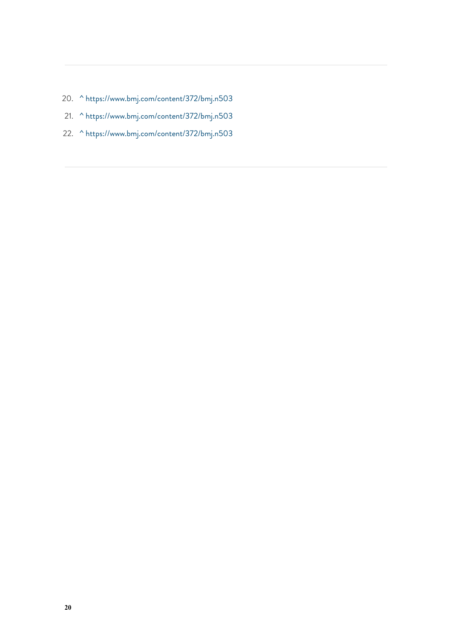- <span id="page-19-1"></span><span id="page-19-0"></span>20. [^](#page-15-1) <https://www.bmj.com/content/372/bmj.n503>
- 21. [^](#page-15-2) <https://www.bmj.com/content/372/bmj.n503>
- <span id="page-19-2"></span>22. [^](#page-15-3) <https://www.bmj.com/content/372/bmj.n503>